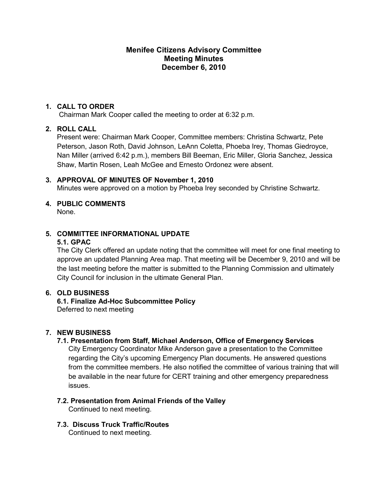## **Menifee Citizens Advisory Committee Meeting Minutes December 6, 2010**

## **1. CALL TO ORDER**

Chairman Mark Cooper called the meeting to order at 6:32 p.m.

## **2. ROLL CALL**

Present were: Chairman Mark Cooper, Committee members: Christina Schwartz, Pete Peterson, Jason Roth, David Johnson, LeAnn Coletta, Phoeba Irey, Thomas Giedroyce, Nan Miller (arrived 6:42 p.m.), members Bill Beeman, Eric Miller, Gloria Sanchez, Jessica Shaw, Martin Rosen, Leah McGee and Ernesto Ordonez were absent.

## **3. APPROVAL OF MINUTES OF November 1, 2010**

Minutes were approved on a motion by Phoeba Irey seconded by Christine Schwartz.

# **4. PUBLIC COMMENTS**

None.

## **5. COMMITTEE INFORMATIONAL UPDATE**

#### **5.1. GPAC**

The City Clerk offered an update noting that the committee will meet for one final meeting to approve an updated Planning Area map. That meeting will be December 9, 2010 and will be the last meeting before the matter is submitted to the Planning Commission and ultimately City Council for inclusion in the ultimate General Plan.

## **6. OLD BUSINESS**

**6.1. Finalize Ad-Hoc Subcommittee Policy**  Deferred to next meeting

## **7. NEW BUSINESS**

## **7.1. Presentation from Staff, Michael Anderson, Office of Emergency Services**

City Emergency Coordinator Mike Anderson gave a presentation to the Committee regarding the City's upcoming Emergency Plan documents. He answered questions from the committee members. He also notified the committee of various training that will be available in the near future for CERT training and other emergency preparedness issues.

## **7.2. Presentation from Animal Friends of the Valley**

Continued to next meeting.

**7.3. Discuss Truck Traffic/Routes**  Continued to next meeting.